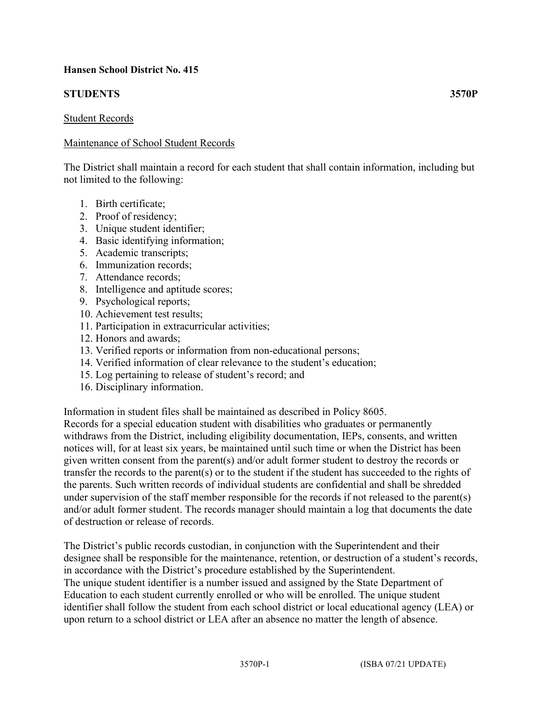# **Hansen School District No. 415**

# **STUDENTS 3570P**

### Student Records

# Maintenance of School Student Records

The District shall maintain a record for each student that shall contain information, including but not limited to the following:

- 1. Birth certificate;
- 2. Proof of residency;
- 3. Unique student identifier;
- 4. Basic identifying information;
- 5. Academic transcripts;
- 6. Immunization records;
- 7. Attendance records;
- 8. Intelligence and aptitude scores;
- 9. Psychological reports;
- 10. Achievement test results;
- 11. Participation in extracurricular activities;
- 12. Honors and awards;
- 13. Verified reports or information from non-educational persons;
- 14. Verified information of clear relevance to the student's education;
- 15. Log pertaining to release of student's record; and
- 16. Disciplinary information.

Information in student files shall be maintained as described in Policy 8605.

Records for a special education student with disabilities who graduates or permanently withdraws from the District, including eligibility documentation, IEPs, consents, and written notices will, for at least six years, be maintained until such time or when the District has been given written consent from the parent(s) and/or adult former student to destroy the records or transfer the records to the parent(s) or to the student if the student has succeeded to the rights of the parents. Such written records of individual students are confidential and shall be shredded under supervision of the staff member responsible for the records if not released to the parent(s) and/or adult former student. The records manager should maintain a log that documents the date of destruction or release of records.

The District's public records custodian, in conjunction with the Superintendent and their designee shall be responsible for the maintenance, retention, or destruction of a student's records, in accordance with the District's procedure established by the Superintendent. The unique student identifier is a number issued and assigned by the State Department of Education to each student currently enrolled or who will be enrolled. The unique student identifier shall follow the student from each school district or local educational agency (LEA) or upon return to a school district or LEA after an absence no matter the length of absence.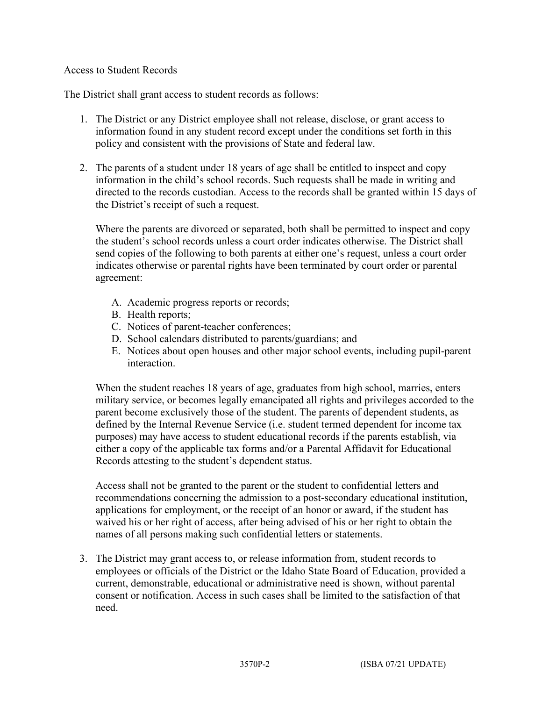# Access to Student Records

The District shall grant access to student records as follows:

- 1. The District or any District employee shall not release, disclose, or grant access to information found in any student record except under the conditions set forth in this policy and consistent with the provisions of State and federal law.
- 2. The parents of a student under 18 years of age shall be entitled to inspect and copy information in the child's school records. Such requests shall be made in writing and directed to the records custodian. Access to the records shall be granted within 15 days of the District's receipt of such a request.

Where the parents are divorced or separated, both shall be permitted to inspect and copy the student's school records unless a court order indicates otherwise. The District shall send copies of the following to both parents at either one's request, unless a court order indicates otherwise or parental rights have been terminated by court order or parental agreement:

- A. Academic progress reports or records;
- B. Health reports;
- C. Notices of parent-teacher conferences;
- D. School calendars distributed to parents/guardians; and
- E. Notices about open houses and other major school events, including pupil-parent interaction.

When the student reaches 18 years of age, graduates from high school, marries, enters military service, or becomes legally emancipated all rights and privileges accorded to the parent become exclusively those of the student. The parents of dependent students, as defined by the Internal Revenue Service (i.e. student termed dependent for income tax purposes) may have access to student educational records if the parents establish, via either a copy of the applicable tax forms and/or a Parental Affidavit for Educational Records attesting to the student's dependent status.

Access shall not be granted to the parent or the student to confidential letters and recommendations concerning the admission to a post-secondary educational institution, applications for employment, or the receipt of an honor or award, if the student has waived his or her right of access, after being advised of his or her right to obtain the names of all persons making such confidential letters or statements.

3. The District may grant access to, or release information from, student records to employees or officials of the District or the Idaho State Board of Education, provided a current, demonstrable, educational or administrative need is shown, without parental consent or notification. Access in such cases shall be limited to the satisfaction of that need.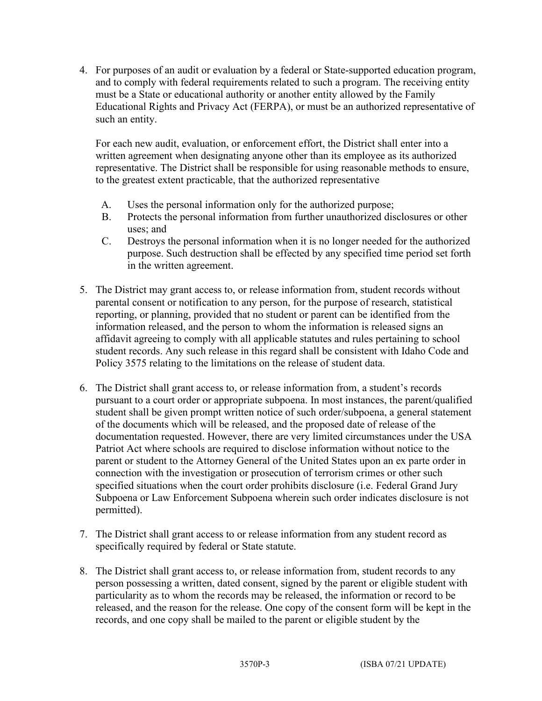4. For purposes of an audit or evaluation by a federal or State-supported education program, and to comply with federal requirements related to such a program. The receiving entity must be a State or educational authority or another entity allowed by the Family Educational Rights and Privacy Act (FERPA), or must be an authorized representative of such an entity.

For each new audit, evaluation, or enforcement effort, the District shall enter into a written agreement when designating anyone other than its employee as its authorized representative. The District shall be responsible for using reasonable methods to ensure, to the greatest extent practicable, that the authorized representative

- A. Uses the personal information only for the authorized purpose;
- B. Protects the personal information from further unauthorized disclosures or other uses; and
- C. Destroys the personal information when it is no longer needed for the authorized purpose. Such destruction shall be effected by any specified time period set forth in the written agreement.
- 5. The District may grant access to, or release information from, student records without parental consent or notification to any person, for the purpose of research, statistical reporting, or planning, provided that no student or parent can be identified from the information released, and the person to whom the information is released signs an affidavit agreeing to comply with all applicable statutes and rules pertaining to school student records. Any such release in this regard shall be consistent with Idaho Code and Policy 3575 relating to the limitations on the release of student data.
- 6. The District shall grant access to, or release information from, a student's records pursuant to a court order or appropriate subpoena. In most instances, the parent/qualified student shall be given prompt written notice of such order/subpoena, a general statement of the documents which will be released, and the proposed date of release of the documentation requested. However, there are very limited circumstances under the USA Patriot Act where schools are required to disclose information without notice to the parent or student to the Attorney General of the United States upon an ex parte order in connection with the investigation or prosecution of terrorism crimes or other such specified situations when the court order prohibits disclosure (i.e. Federal Grand Jury Subpoena or Law Enforcement Subpoena wherein such order indicates disclosure is not permitted).
- 7. The District shall grant access to or release information from any student record as specifically required by federal or State statute.
- 8. The District shall grant access to, or release information from, student records to any person possessing a written, dated consent, signed by the parent or eligible student with particularity as to whom the records may be released, the information or record to be released, and the reason for the release. One copy of the consent form will be kept in the records, and one copy shall be mailed to the parent or eligible student by the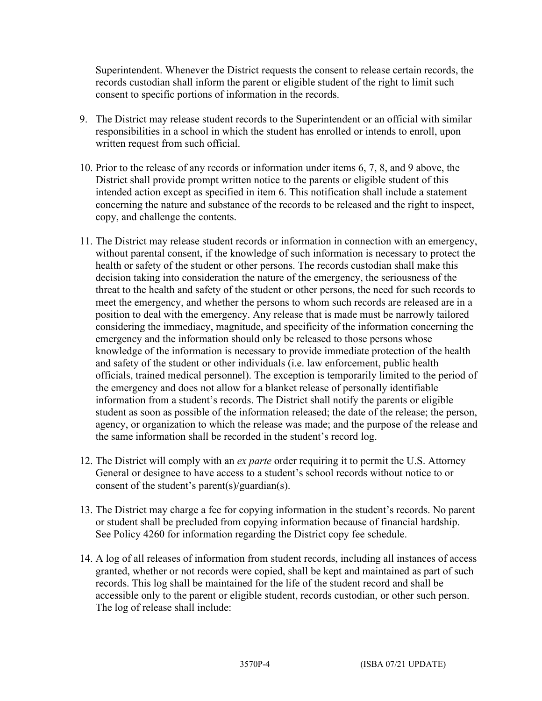Superintendent. Whenever the District requests the consent to release certain records, the records custodian shall inform the parent or eligible student of the right to limit such consent to specific portions of information in the records.

- 9. The District may release student records to the Superintendent or an official with similar responsibilities in a school in which the student has enrolled or intends to enroll, upon written request from such official.
- 10. Prior to the release of any records or information under items 6, 7, 8, and 9 above, the District shall provide prompt written notice to the parents or eligible student of this intended action except as specified in item 6. This notification shall include a statement concerning the nature and substance of the records to be released and the right to inspect, copy, and challenge the contents.
- 11. The District may release student records or information in connection with an emergency, without parental consent, if the knowledge of such information is necessary to protect the health or safety of the student or other persons. The records custodian shall make this decision taking into consideration the nature of the emergency, the seriousness of the threat to the health and safety of the student or other persons, the need for such records to meet the emergency, and whether the persons to whom such records are released are in a position to deal with the emergency. Any release that is made must be narrowly tailored considering the immediacy, magnitude, and specificity of the information concerning the emergency and the information should only be released to those persons whose knowledge of the information is necessary to provide immediate protection of the health and safety of the student or other individuals (i.e. law enforcement, public health officials, trained medical personnel). The exception is temporarily limited to the period of the emergency and does not allow for a blanket release of personally identifiable information from a student's records. The District shall notify the parents or eligible student as soon as possible of the information released; the date of the release; the person, agency, or organization to which the release was made; and the purpose of the release and the same information shall be recorded in the student's record log.
- 12. The District will comply with an *ex parte* order requiring it to permit the U.S. Attorney General or designee to have access to a student's school records without notice to or consent of the student's parent(s)/guardian(s).
- 13. The District may charge a fee for copying information in the student's records. No parent or student shall be precluded from copying information because of financial hardship. See Policy 4260 for information regarding the District copy fee schedule.
- 14. A log of all releases of information from student records, including all instances of access granted, whether or not records were copied, shall be kept and maintained as part of such records. This log shall be maintained for the life of the student record and shall be accessible only to the parent or eligible student, records custodian, or other such person. The log of release shall include: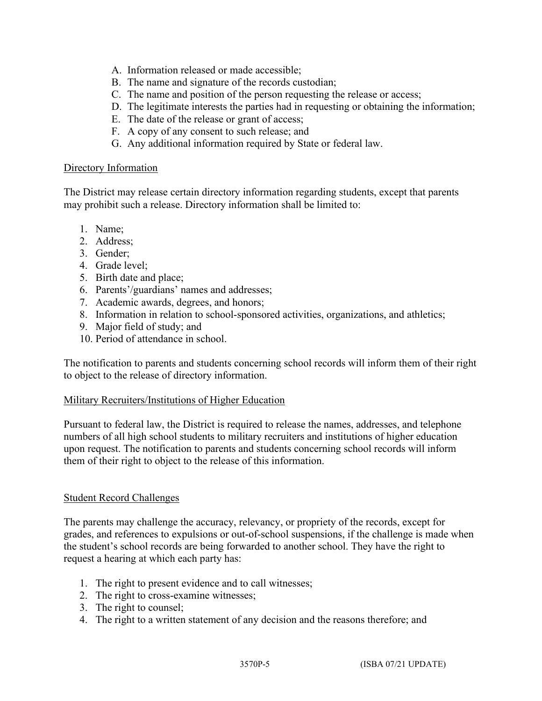- A. Information released or made accessible;
- B. The name and signature of the records custodian;
- C. The name and position of the person requesting the release or access;
- D. The legitimate interests the parties had in requesting or obtaining the information;
- E. The date of the release or grant of access;
- F. A copy of any consent to such release; and
- G. Any additional information required by State or federal law.

#### Directory Information

The District may release certain directory information regarding students, except that parents may prohibit such a release. Directory information shall be limited to:

- 1. Name;
- 2. Address;
- 3. Gender;
- 4. Grade level;
- 5. Birth date and place;
- 6. Parents'/guardians' names and addresses;
- 7. Academic awards, degrees, and honors;
- 8. Information in relation to school-sponsored activities, organizations, and athletics;
- 9. Major field of study; and
- 10. Period of attendance in school.

The notification to parents and students concerning school records will inform them of their right to object to the release of directory information.

### Military Recruiters/Institutions of Higher Education

Pursuant to federal law, the District is required to release the names, addresses, and telephone numbers of all high school students to military recruiters and institutions of higher education upon request. The notification to parents and students concerning school records will inform them of their right to object to the release of this information.

### Student Record Challenges

The parents may challenge the accuracy, relevancy, or propriety of the records, except for grades, and references to expulsions or out-of-school suspensions, if the challenge is made when the student's school records are being forwarded to another school. They have the right to request a hearing at which each party has:

- 1. The right to present evidence and to call witnesses;
- 2. The right to cross-examine witnesses;
- 3. The right to counsel;
- 4. The right to a written statement of any decision and the reasons therefore; and